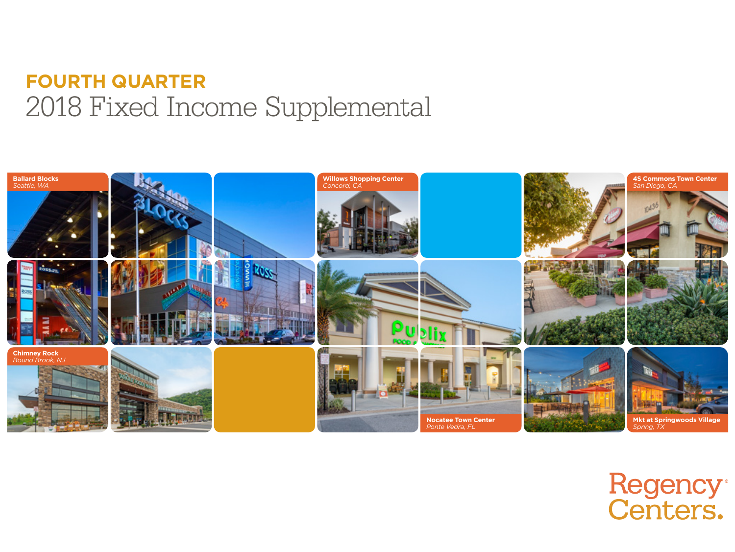### **FOURTH QUARTER** 2018 Fixed Income Supplemental



# Regency®<br>Centers.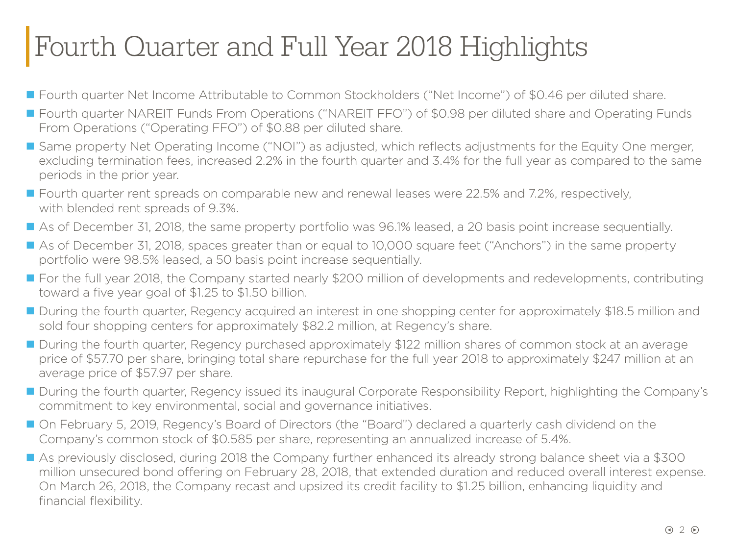### Fourth Quarter and Full Year 2018 Highlights

- Fourth quarter Net Income Attributable to Common Stockholders ("Net Income") of \$0.46 per diluted share.
- Fourth quarter NAREIT Funds From Operations ("NAREIT FFO") of \$0.98 per diluted share and Operating Funds From Operations ("Operating FFO") of \$0.88 per diluted share.
- Same property Net Operating Income ("NOI") as adjusted, which reflects adjustments for the Equity One merger, excluding termination fees, increased 2.2% in the fourth quarter and 3.4% for the full year as compared to the same periods in the prior year.
- Fourth quarter rent spreads on comparable new and renewal leases were 22.5% and 7.2%, respectively, with blended rent spreads of 9.3%.
- As of December 31, 2018, the same property portfolio was 96.1% leased, a 20 basis point increase sequentially.
- As of December 31, 2018, spaces greater than or equal to 10,000 square feet ("Anchors") in the same property portfolio were 98.5% leased, a 50 basis point increase sequentially.
- For the full year 2018, the Company started nearly \$200 million of developments and redevelopments, contributing toward a five year goal of \$1.25 to \$1.50 billion.
- During the fourth quarter, Regency acquired an interest in one shopping center for approximately \$18.5 million and sold four shopping centers for approximately \$82.2 million, at Regency's share.
- During the fourth quarter, Regency purchased approximately \$122 million shares of common stock at an average price of \$57.70 per share, bringing total share repurchase for the full year 2018 to approximately \$247 million at an average price of \$57.97 per share.
- During the fourth quarter, Regency issued its inaugural Corporate Responsibility Report, highlighting the Company's commitment to key environmental, social and governance initiatives.
- On February 5, 2019, Regency's Board of Directors (the "Board") declared a quarterly cash dividend on the Company's common stock of \$0.585 per share, representing an annualized increase of 5.4%.
- As previously disclosed, during 2018 the Company further enhanced its already strong balance sheet via a \$300 million unsecured bond offering on February 28, 2018, that extended duration and reduced overall interest expense. On March 26, 2018, the Company recast and upsized its credit facility to \$1.25 billion, enhancing liquidity and financial flexibility.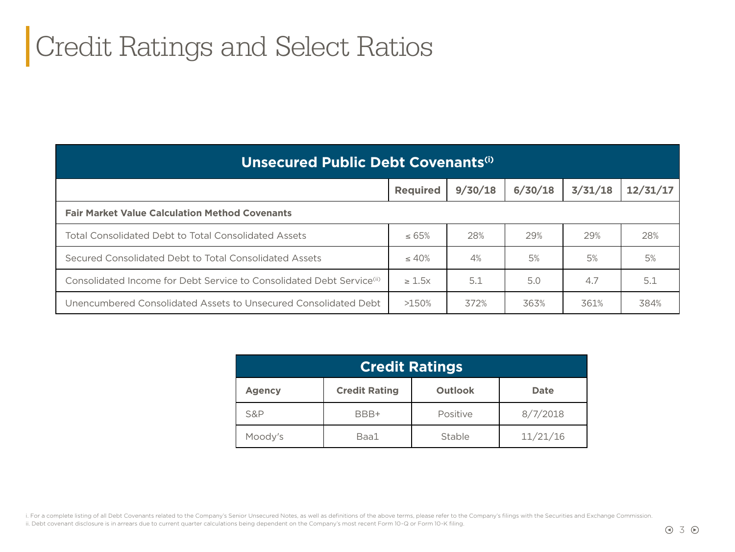### Credit Ratings and Select Ratios

| <b>Unsecured Public Debt Covenants<sup>(i)</sup></b>                              |                 |         |         |         |          |  |  |  |
|-----------------------------------------------------------------------------------|-----------------|---------|---------|---------|----------|--|--|--|
|                                                                                   | <b>Required</b> | 9/30/18 | 6/30/18 | 3/31/18 | 12/31/17 |  |  |  |
| <b>Fair Market Value Calculation Method Covenants</b>                             |                 |         |         |         |          |  |  |  |
| <b>Total Consolidated Debt to Total Consolidated Assets</b>                       | $\leq 65\%$     | 28%     | 29%     | 29%     | 28%      |  |  |  |
| Secured Consolidated Debt to Total Consolidated Assets                            | $\leq 40\%$     | 4%      | 5%      | 5%      | 5%       |  |  |  |
| Consolidated Income for Debt Service to Consolidated Debt Service <sup>(ii)</sup> | $\geq 1.5x$     | 5.1     | 5.0     | 4.7     | 5.1      |  |  |  |
| Unencumbered Consolidated Assets to Unsecured Consolidated Debt                   | >150%           | 372%    | 363%    | 361%    | 384%     |  |  |  |

| <b>Credit Ratings</b> |                      |                |             |  |  |  |
|-----------------------|----------------------|----------------|-------------|--|--|--|
| <b>Agency</b>         | <b>Credit Rating</b> | <b>Outlook</b> | <b>Date</b> |  |  |  |
| <b>S&amp;P</b>        | BBB+                 | Positive       | 8/7/2018    |  |  |  |
| Moody's               | Baa1                 | Stable         | 11/21/16    |  |  |  |

i. For a complete listing of all Debt Covenants related to the Company's Senior Unsecured Notes, as well as definitions of the above terms, please refer to the Company's filings with the Securities and Exchange Commission. ii. Debt covenant disclosure is in arrears due to current quarter calculations being dependent on the Company's most recent Form 10-Q or Form 10-K filing.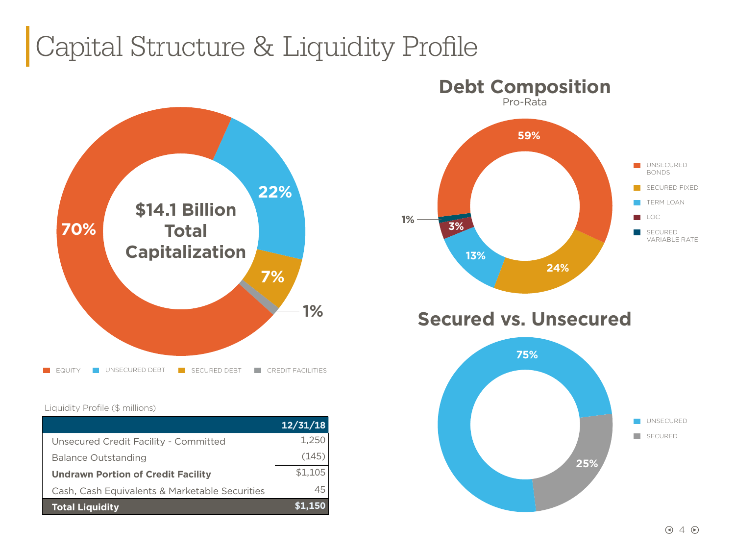### Capital Structure & Liquidity Profile



#### Liquidity Profile (\$ millions)

|                                                | 12/31/18 |
|------------------------------------------------|----------|
| Unsecured Credit Facility - Committed          | 1,250    |
| <b>Balance Outstanding</b>                     | (145)    |
| <b>Undrawn Portion of Credit Facility</b>      | \$1,105  |
| Cash, Cash Equivalents & Marketable Securities | 45       |
| <b>Total Liquidity</b>                         |          |



SECURED

**25%**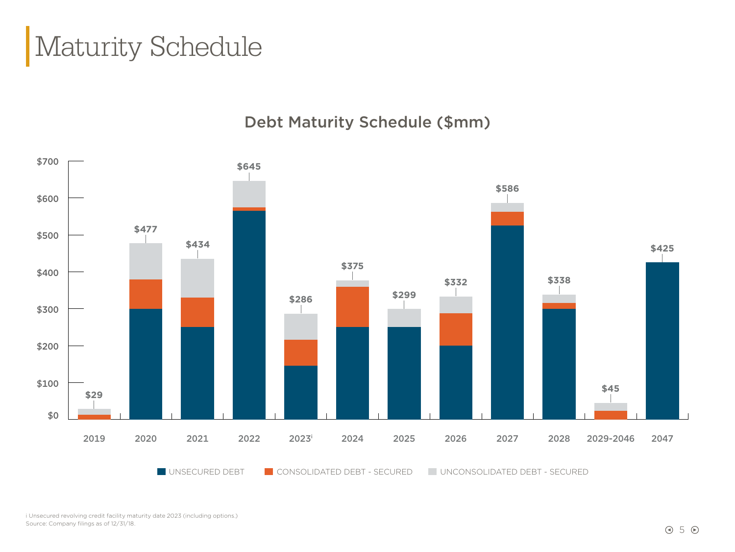### Maturity Schedule

#### Debt Maturity Schedule (\$mm)



i Unsecured revolving credit facility maturity date 2023 (including options.) Source: Company filings as of 12/31/18.